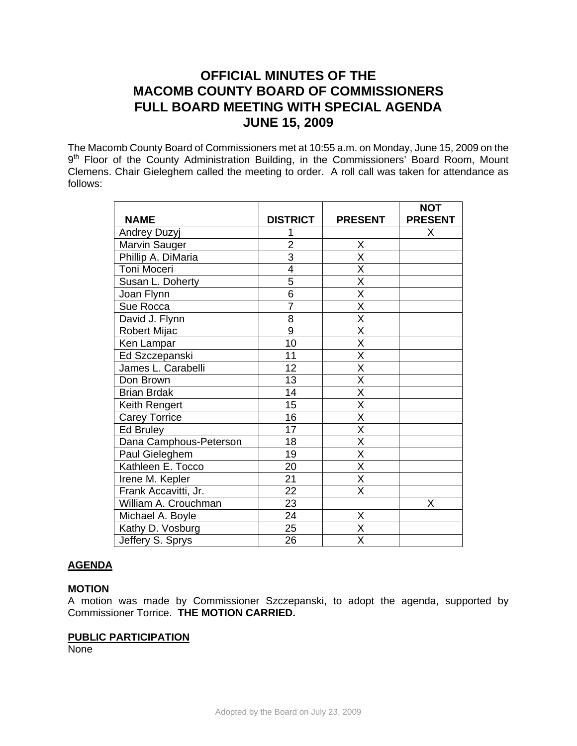# **OFFICIAL MINUTES OF THE MACOMB COUNTY BOARD OF COMMISSIONERS FULL BOARD MEETING WITH SPECIAL AGENDA JUNE 15, 2009**

The Macomb County Board of Commissioners met at 10:55 a.m. on Monday, June 15, 2009 on the 9<sup>th</sup> Floor of the County Administration Building, in the Commissioners' Board Room, Mount Clemens. Chair Gieleghem called the meeting to order. A roll call was taken for attendance as follows:

|                        |                 |                         | <b>NOT</b>     |
|------------------------|-----------------|-------------------------|----------------|
| <b>NAME</b>            | <b>DISTRICT</b> | <b>PRESENT</b>          | <b>PRESENT</b> |
| Andrey Duzyj           |                 |                         | X              |
| Marvin Sauger          | $\overline{2}$  | Χ                       |                |
| Phillip A. DiMaria     | $\overline{3}$  | $\overline{\mathsf{x}}$ |                |
| Toni Moceri            | 4               | $\overline{\mathsf{x}}$ |                |
| Susan L. Doherty       | 5               | $\overline{\mathsf{x}}$ |                |
| Joan Flynn             | $\overline{6}$  | $\overline{\mathsf{x}}$ |                |
| Sue Rocca              | $\overline{7}$  | $\overline{\mathsf{x}}$ |                |
| David J. Flynn         | 8               | $\overline{\mathsf{x}}$ |                |
| <b>Robert Mijac</b>    | $\overline{9}$  | $\overline{\mathsf{x}}$ |                |
| Ken Lampar             | 10              | $\overline{\mathsf{x}}$ |                |
| Ed Szczepanski         | 11              | $\overline{\mathsf{x}}$ |                |
| James L. Carabelli     | 12              | $\overline{\mathsf{x}}$ |                |
| Don Brown              | 13              | $\overline{\mathsf{x}}$ |                |
| <b>Brian Brdak</b>     | 14              | $\overline{\mathsf{x}}$ |                |
| Keith Rengert          | 15              | $\overline{X}$          |                |
| <b>Carey Torrice</b>   | 16              | $\overline{\mathsf{x}}$ |                |
| Ed Bruley              | 17              | $\overline{\mathsf{x}}$ |                |
| Dana Camphous-Peterson | 18              | $\overline{\mathsf{X}}$ |                |
| Paul Gieleghem         | 19              | $\overline{\mathsf{x}}$ |                |
| Kathleen E. Tocco      | 20              | $\overline{\mathsf{x}}$ |                |
| Irene M. Kepler        | 21              | $\overline{\mathsf{X}}$ |                |
| Frank Accavitti, Jr.   | $\overline{22}$ | $\overline{\mathsf{x}}$ |                |
| William A. Crouchman   | 23              |                         | Χ              |
| Michael A. Boyle       | 24              | Χ                       |                |
| Kathy D. Vosburg       | $\overline{25}$ | $\overline{\mathsf{x}}$ |                |
| Jeffery S. Sprys       | 26              | $\overline{\mathsf{x}}$ |                |

# **AGENDA**

## **MOTION**

A motion was made by Commissioner Szczepanski, to adopt the agenda, supported by Commissioner Torrice. **THE MOTION CARRIED.** 

## **PUBLIC PARTICIPATION**

None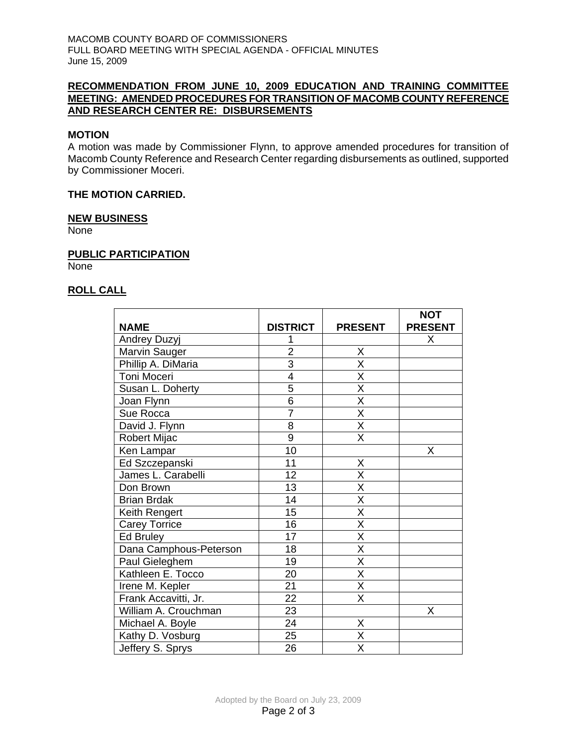MACOMB COUNTY BOARD OF COMMISSIONERS FULL BOARD MEETING WITH SPECIAL AGENDA - OFFICIAL MINUTES June 15, 2009

# **RECOMMENDATION FROM JUNE 10, 2009 EDUCATION AND TRAINING COMMITTEE MEETING: AMENDED PROCEDURES FOR TRANSITION OF MACOMB COUNTY REFERENCE AND RESEARCH CENTER RE: DISBURSEMENTS**

# **MOTION**

A motion was made by Commissioner Flynn, to approve amended procedures for transition of Macomb County Reference and Research Center regarding disbursements as outlined, supported by Commissioner Moceri.

#### **THE MOTION CARRIED.**

#### **NEW BUSINESS**

None

#### **PUBLIC PARTICIPATION**

None

# **ROLL CALL**

|                        |                 |                         | <b>NOT</b>     |
|------------------------|-----------------|-------------------------|----------------|
| <b>NAME</b>            | <b>DISTRICT</b> | <b>PRESENT</b>          | <b>PRESENT</b> |
| <b>Andrey Duzyj</b>    |                 |                         | X              |
| Marvin Sauger          | $\overline{2}$  | X                       |                |
| Phillip A. DiMaria     | $\overline{3}$  | $\overline{\mathsf{x}}$ |                |
| Toni Moceri            | $\overline{4}$  | X                       |                |
| Susan L. Doherty       | $\overline{5}$  | $\overline{\mathsf{x}}$ |                |
| Joan Flynn             | $\overline{6}$  | $\overline{\mathsf{x}}$ |                |
| Sue Rocca              | $\overline{7}$  | $\overline{\mathsf{x}}$ |                |
| David J. Flynn         | $\overline{8}$  | $\overline{\mathsf{x}}$ |                |
| Robert Mijac           | $\overline{9}$  | $\overline{\mathsf{X}}$ |                |
| Ken Lampar             | 10              |                         | Χ              |
| Ed Szczepanski         | 11              | X                       |                |
| James L. Carabelli     | 12              | $\overline{\mathsf{x}}$ |                |
| Don Brown              | 13              | X                       |                |
| <b>Brian Brdak</b>     | $\overline{14}$ | $\overline{\mathsf{x}}$ |                |
| Keith Rengert          | 15              | $\overline{\mathsf{x}}$ |                |
| <b>Carey Torrice</b>   | 16              | $\overline{\mathsf{x}}$ |                |
| Ed Bruley              | 17              | $\overline{\mathsf{x}}$ |                |
| Dana Camphous-Peterson | 18              | $\overline{\mathsf{x}}$ |                |
| Paul Gieleghem         | 19              | X                       |                |
| Kathleen E. Tocco      | 20              | $\overline{\mathsf{x}}$ |                |
| Irene M. Kepler        | 21              | $\overline{\mathsf{x}}$ |                |
| Frank Accavitti, Jr.   | 22              | $\overline{\mathsf{x}}$ |                |
| William A. Crouchman   | 23              |                         | X              |
| Michael A. Boyle       | 24              | Χ                       |                |
| Kathy D. Vosburg       | 25              | $\overline{\sf x}$      |                |
| Jeffery S. Sprys       | 26              | X                       |                |